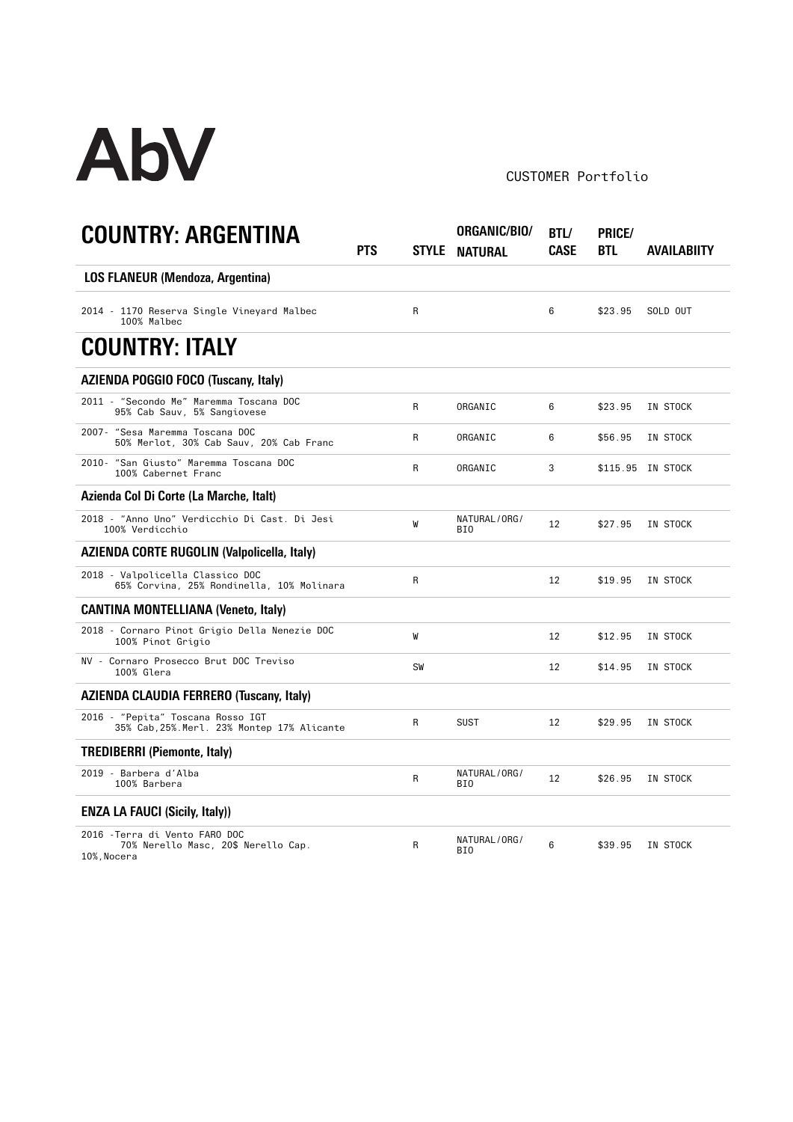

## CUSTOMER Portfolio

| <b>COUNTRY: ARGENTINA</b>                                                            | PTS |           | ORGANIC/BIO/<br>STYLE NATURAL | BTL/<br>CASE | PRICE/<br>BTL | AVAILABIITY       |
|--------------------------------------------------------------------------------------|-----|-----------|-------------------------------|--------------|---------------|-------------------|
| <b>LOS FLANEUR (Mendoza, Argentina)</b>                                              |     |           |                               |              |               |                   |
| 2014 - 1170 Reserva Single Vineyard Malbec<br>100% Malbec                            |     | R         |                               | 6            | \$23.95       | SOLD OUT          |
| <b>COUNTRY: ITALY</b>                                                                |     |           |                               |              |               |                   |
| <b>AZIENDA POGGIO FOCO (Tuscany, Italy)</b>                                          |     |           |                               |              |               |                   |
| 2011 - "Secondo Me" Maremma Toscana DOC<br>95% Cab Sauv, 5% Sangiovese               |     | R         | ORGANIC                       | 6            | \$23.95       | IN STOCK          |
| 2007- "Sesa Maremma Toscana DOC<br>50% Merlot, 30% Cab Sauv, 20% Cab Franc           |     | R         | ORGANIC                       | 6            | \$56.95       | IN STOCK          |
| 2010- "San Giusto" Maremma Toscana DOC<br>100% Cabernet Franc                        |     | R         | ORGANIC                       | 3            |               | \$115.95 IN STOCK |
| Azienda Col Di Corte (La Marche, Italt)                                              |     |           |                               |              |               |                   |
| 2018 - "Anno Uno" Verdicchio Di Cast. Di Jesi<br>100% Verdicchio                     |     | W         | NATURAL/ORG/<br>BI0           | 12           | \$27.95       | IN STOCK          |
| <b>AZIENDA CORTE RUGOLIN (Valpolicella, Italy)</b>                                   |     |           |                               |              |               |                   |
| 2018 - Valpolicella Classico DOC<br>65% Corvina, 25% Rondinella, 10% Molinara        |     | R         |                               | 12           | \$19.95       | IN STOCK          |
| <b>CANTINA MONTELLIANA (Veneto, Italy)</b>                                           |     |           |                               |              |               |                   |
| 2018 - Cornaro Pinot Grigio Della Nenezie DOC<br>100% Pinot Grigio                   |     | W         |                               | 12           | \$12.95       | IN STOCK          |
| NV - Cornaro Prosecco Brut DOC Treviso<br>100% Glera                                 |     | <b>SW</b> |                               | 12           | \$14.95       | IN STOCK          |
| <b>AZIENDA CLAUDIA FERRERO (Tuscany, Italy)</b>                                      |     |           |                               |              |               |                   |
| 2016 - "Pepita" Toscana Rosso IGT<br>35% Cab, 25%. Merl. 23% Montep 17% Alicante     |     | R         | <b>SUST</b>                   | 12           | \$29.95       | IN STOCK          |
| <b>TREDIBERRI (Piemonte, Italy)</b>                                                  |     |           |                               |              |               |                   |
| 2019 - Barbera d'Alba<br>100% Barbera                                                |     | R         | NATURAL/ORG/<br>BI0           | 12           | \$26.95       | IN STOCK          |
| <b>ENZA LA FAUCI (Sicily, Italy))</b>                                                |     |           |                               |              |               |                   |
| 2016 - Terra di Vento FARO DOC<br>70% Nerello Masc, 20\$ Nerello Cap.<br>10%, Nocera |     | R         | NATURAL/ORG/<br>BI0           | 6            | \$39.95       | IN STOCK          |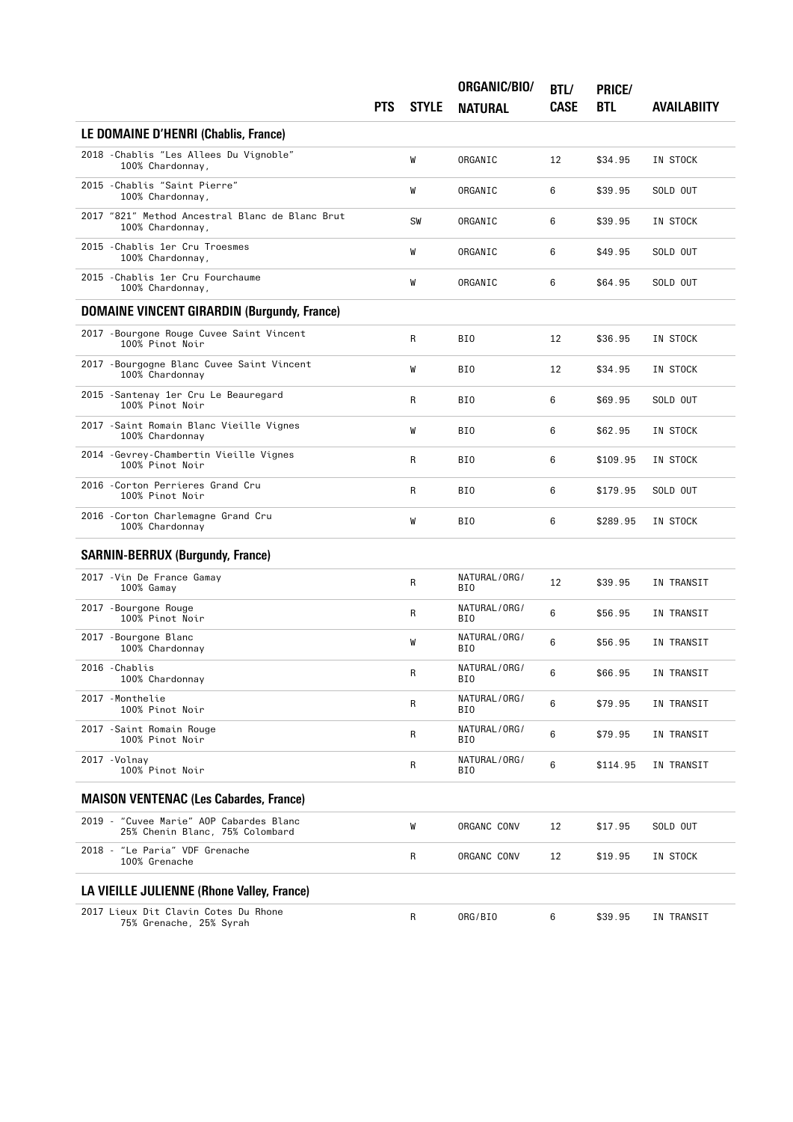|                                                                                 | <b>PTS</b> | <b>STYLE</b> | ORGANIC/BIO/<br><b>NATURAL</b> | BTL/<br><b>CASE</b> | PRICE/<br><b>BTL</b> | <b>AVAILABIITY</b> |
|---------------------------------------------------------------------------------|------------|--------------|--------------------------------|---------------------|----------------------|--------------------|
| LE DOMAINE D'HENRI (Chablis, France)                                            |            |              |                                |                     |                      |                    |
| 2018 - Chablis "Les Allees Du Vignoble"<br>100% Chardonnay,                     |            | W            | ORGANIC                        | 12                  | \$34.95              | IN STOCK           |
| 2015 - Chablis "Saint Pierre"<br>100% Chardonnay,                               |            | W            | ORGANIC                        | 6                   | \$39.95              | SOLD OUT           |
| 2017 "821" Method Ancestral Blanc de Blanc Brut<br>100% Chardonnay,             |            | SW           | ORGANIC                        | 6                   | \$39.95              | IN STOCK           |
| 2015 - Chablis 1er Cru Troesmes<br>100% Chardonnay,                             |            | W            | ORGANIC                        | 6                   | \$49.95              | SOLD OUT           |
| 2015 - Chablis 1er Cru Fourchaume<br>100% Chardonnay,                           |            | W            | ORGANIC                        | 6                   | \$64.95              | SOLD OUT           |
| <b>DOMAINE VINCENT GIRARDIN (Burgundy, France)</b>                              |            |              |                                |                     |                      |                    |
| 2017 - Bourgone Rouge Cuvee Saint Vincent<br>100% Pinot Noir                    |            | R            | BI0                            | 12                  | \$36.95              | IN STOCK           |
| 2017 - Bourgogne Blanc Cuvee Saint Vincent<br>100% Chardonnay                   |            | W            | BI0                            | 12                  | \$34.95              | IN STOCK           |
| 2015 - Santenay 1er Cru Le Beauregard<br>100% Pinot Noir                        |            | R            | BI0                            | 6                   | \$69.95              | SOLD OUT           |
| 2017 - Saint Romain Blanc Vieille Vignes<br>100% Chardonnay                     |            | W            | BI0                            | 6                   | \$62.95              | IN STOCK           |
| 2014 - Gevrey-Chambertin Vieille Vignes<br>100% Pinot Noir                      |            | R            | BI0                            | 6                   | \$109.95             | IN STOCK           |
| 2016 - Corton Perrieres Grand Cru<br>100% Pinot Noir                            |            | R            | BI0                            | 6                   | \$179.95             | SOLD OUT           |
| 2016 - Corton Charlemagne Grand Cru<br>100% Chardonnay                          |            | W            | BI0                            | 6                   | \$289.95             | IN STOCK           |
| <b>SARNIN-BERRUX (Burgundy, France)</b>                                         |            |              |                                |                     |                      |                    |
| 2017 - Vin De France Gamay<br>100% Gamay                                        |            | R            | NATURAL/ORG/<br>BI0            | 12                  | \$39.95              | IN TRANSIT         |
| 2017 - Bourgone Rouge<br>100% Pinot Noir                                        |            | R            | NATURAL/ORG/<br>BI0            | 6                   | \$56.95              | IN TRANSIT         |
| 2017 - Bourgone Blanc<br>100% Chardonnay                                        |            | W            | NATURAL/ORG/<br>BI0            | 6                   | \$56.95              | IN TRANSIT         |
| 2016 - Chablis<br>100% Chardonnay                                               |            | R            | NATURAL/ORG/<br>BI0            | 6                   | \$66.95              | IN TRANSIT         |
| 2017 - Monthelie<br>100% Pinot Noir                                             |            | R            | NATURAL/ORG/<br>BI0            | 6                   | \$79.95              | IN TRANSIT         |
| 2017 - Saint Romain Rouge<br>100% Pinot Noir                                    |            | R            | NATURAL/ORG/<br>BI0            | 6                   | \$79.95              | IN TRANSIT         |
| 2017 - Volnay<br>100% Pinot Noir                                                |            | R            | NATURAL/ORG/<br>BI0            | 6                   | \$114.95             | IN TRANSIT         |
| <b>MAISON VENTENAC (Les Cabardes, France)</b>                                   |            |              |                                |                     |                      |                    |
| $2019 -$<br>"Cuvee Marie" AOP Cabardes Blanc<br>25% Chenin Blanc, 75% Colombard |            | W            | ORGANC CONV                    | 12                  | \$17.95              | SOLD OUT           |
| 2018 - "Le Paria" VDF Grenache<br>100% Grenache                                 |            | R            | ORGANC CONV                    | 12                  | \$19.95              | IN STOCK           |
| LA VIEILLE JULIENNE (Rhone Valley, France)                                      |            |              |                                |                     |                      |                    |
| 2017 Lieux Dit Clavin Cotes Du Rhone<br>75% Grenache, 25% Syrah                 |            | R            | ORG/BIO                        | 6                   | \$39.95              | IN TRANSIT         |